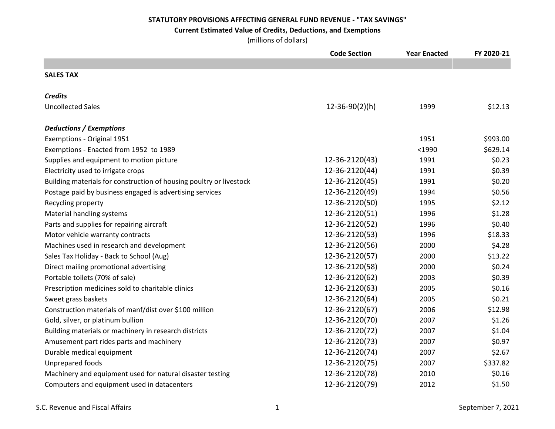## **Current Estimated Value of Credits, Deductions, and Exemptions**

|                                                                     | <b>Code Section</b>  | <b>Year Enacted</b> | FY 2020-21 |
|---------------------------------------------------------------------|----------------------|---------------------|------------|
|                                                                     |                      |                     |            |
| <b>SALES TAX</b>                                                    |                      |                     |            |
| <b>Credits</b>                                                      |                      |                     |            |
| <b>Uncollected Sales</b>                                            | $12 - 36 - 90(2)(h)$ | 1999                | \$12.13    |
| <b>Deductions / Exemptions</b>                                      |                      |                     |            |
| Exemptions - Original 1951                                          |                      | 1951                | \$993.00   |
| Exemptions - Enacted from 1952 to 1989                              |                      | $1990$              | \$629.14   |
| Supplies and equipment to motion picture                            | 12-36-2120(43)       | 1991                | \$0.23     |
| Electricity used to irrigate crops                                  | 12-36-2120(44)       | 1991                | \$0.39     |
| Building materials for construction of housing poultry or livestock | 12-36-2120(45)       | 1991                | \$0.20     |
| Postage paid by business engaged is advertising services            | 12-36-2120(49)       | 1994                | \$0.56     |
| Recycling property                                                  | 12-36-2120(50)       | 1995                | \$2.12     |
| Material handling systems                                           | 12-36-2120(51)       | 1996                | \$1.28     |
| Parts and supplies for repairing aircraft                           | 12-36-2120(52)       | 1996                | \$0.40     |
| Motor vehicle warranty contracts                                    | 12-36-2120(53)       | 1996                | \$18.33    |
| Machines used in research and development                           | 12-36-2120(56)       | 2000                | \$4.28     |
| Sales Tax Holiday - Back to School (Aug)                            | 12-36-2120(57)       | 2000                | \$13.22    |
| Direct mailing promotional advertising                              | 12-36-2120(58)       | 2000                | \$0.24     |
| Portable toilets (70% of sale)                                      | 12-36-2120(62)       | 2003                | \$0.39     |
| Prescription medicines sold to charitable clinics                   | 12-36-2120(63)       | 2005                | \$0.16     |
| Sweet grass baskets                                                 | 12-36-2120(64)       | 2005                | \$0.21     |
| Construction materials of manf/dist over \$100 million              | 12-36-2120(67)       | 2006                | \$12.98    |
| Gold, silver, or platinum bullion                                   | 12-36-2120(70)       | 2007                | \$1.26     |
| Building materials or machinery in research districts               | 12-36-2120(72)       | 2007                | \$1.04     |
| Amusement part rides parts and machinery                            | 12-36-2120(73)       | 2007                | \$0.97     |
| Durable medical equipment                                           | 12-36-2120(74)       | 2007                | \$2.67     |
| Unprepared foods                                                    | 12-36-2120(75)       | 2007                | \$337.82   |
| Machinery and equipment used for natural disaster testing           | 12-36-2120(78)       | 2010                | \$0.16     |
| Computers and equipment used in datacenters                         | 12-36-2120(79)       | 2012                | \$1.50     |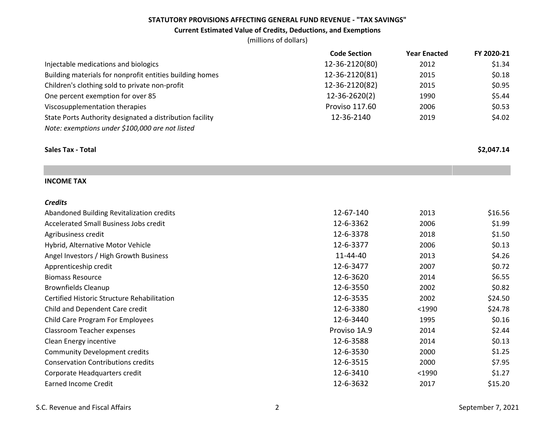### **Current Estimated Value of Credits, Deductions, and Exemptions**

|                                                          | <b>Code Section</b> | <b>Year Enacted</b> | FY 2020-21 |
|----------------------------------------------------------|---------------------|---------------------|------------|
| Injectable medications and biologics                     | 12-36-2120(80)      | 2012                | \$1.34     |
| Building materials for nonprofit entities building homes | 12-36-2120(81)      | 2015                | \$0.18     |
| Children's clothing sold to private non-profit           | 12-36-2120(82)      | 2015                | \$0.95     |
| One percent exemption for over 85                        | 12-36-2620(2)       | 1990                | \$5.44     |
| Viscosupplementation therapies                           | Proviso 117.60      | 2006                | \$0.53     |
| State Ports Authority designated a distribution facility | 12-36-2140          | 2019                | \$4.02     |
| Note: exemptions under \$100,000 are not listed          |                     |                     |            |
| <b>Sales Tax - Total</b>                                 |                     |                     | \$2,047.14 |
|                                                          |                     |                     |            |
| <b>INCOME TAX</b>                                        |                     |                     |            |
| <b>Credits</b>                                           |                     |                     |            |
| Abandoned Building Revitalization credits                | 12-67-140           | 2013                | \$16.56    |
| Accelerated Small Business Jobs credit                   | 12-6-3362           | 2006                | \$1.99     |
| Agribusiness credit                                      | 12-6-3378           | 2018                | \$1.50     |
| Hybrid, Alternative Motor Vehicle                        | 12-6-3377           | 2006                | \$0.13     |
| Angel Investors / High Growth Business                   | 11-44-40            | 2013                | \$4.26     |
| Apprenticeship credit                                    | 12-6-3477           | 2007                | \$0.72     |
| <b>Biomass Resource</b>                                  | 12-6-3620           | 2014                | \$6.55     |
| <b>Brownfields Cleanup</b>                               | 12-6-3550           | 2002                | \$0.82     |
| Certified Historic Structure Rehabilitation              | 12-6-3535           | 2002                | \$24.50    |
| Child and Dependent Care credit                          | 12-6-3380           | $1990$              | \$24.78    |
| <b>Child Care Program For Employees</b>                  | 12-6-3440           | 1995                | \$0.16     |
| Classroom Teacher expenses                               | Proviso 1A.9        | 2014                | \$2.44     |
| Clean Energy incentive                                   | 12-6-3588           | 2014                | \$0.13     |
| <b>Community Development credits</b>                     | 12-6-3530           | 2000                | \$1.25     |
| <b>Conservation Contributions credits</b>                | 12-6-3515           | 2000                | \$7.95     |
| Corporate Headquarters credit                            | 12-6-3410           | $<$ 1990            | \$1.27     |
| <b>Earned Income Credit</b>                              | 12-6-3632           | 2017                | \$15.20    |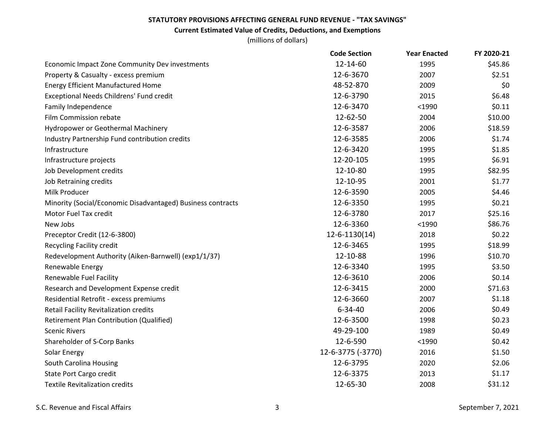## **Current Estimated Value of Credits, Deductions, and Exemptions**

|                                                             | <b>Code Section</b> | <b>Year Enacted</b> | FY 2020-21 |
|-------------------------------------------------------------|---------------------|---------------------|------------|
| Economic Impact Zone Community Dev investments              | 12-14-60            | 1995                | \$45.86    |
| Property & Casualty - excess premium                        | 12-6-3670           | 2007                | \$2.51     |
| <b>Energy Efficient Manufactured Home</b>                   | 48-52-870           | 2009                | \$0        |
| <b>Exceptional Needs Childrens' Fund credit</b>             | 12-6-3790           | 2015                | \$6.48     |
| Family Independence                                         | 12-6-3470           | $1990$              | \$0.11     |
| Film Commission rebate                                      | 12-62-50            | 2004                | \$10.00    |
| Hydropower or Geothermal Machinery                          | 12-6-3587           | 2006                | \$18.59    |
| Industry Partnership Fund contribution credits              | 12-6-3585           | 2006                | \$1.74     |
| Infrastructure                                              | 12-6-3420           | 1995                | \$1.85     |
| Infrastructure projects                                     | 12-20-105           | 1995                | \$6.91     |
| Job Development credits                                     | 12-10-80            | 1995                | \$82.95    |
| Job Retraining credits                                      | 12-10-95            | 2001                | \$1.77     |
| Milk Producer                                               | 12-6-3590           | 2005                | \$4.46     |
| Minority (Social/Economic Disadvantaged) Business contracts | 12-6-3350           | 1995                | \$0.21     |
| Motor Fuel Tax credit                                       | 12-6-3780           | 2017                | \$25.16    |
| New Jobs                                                    | 12-6-3360           | $<$ 1990            | \$86.76    |
| Preceptor Credit (12-6-3800)                                | $12 - 6 - 1130(14)$ | 2018                | \$0.22     |
| <b>Recycling Facility credit</b>                            | 12-6-3465           | 1995                | \$18.99    |
| Redevelopment Authority (Aiken-Barnwell) (exp1/1/37)        | 12-10-88            | 1996                | \$10.70    |
| Renewable Energy                                            | 12-6-3340           | 1995                | \$3.50     |
| Renewable Fuel Facility                                     | 12-6-3610           | 2006                | \$0.14     |
| Research and Development Expense credit                     | 12-6-3415           | 2000                | \$71.63    |
| Residential Retrofit - excess premiums                      | 12-6-3660           | 2007                | \$1.18     |
| Retail Facility Revitalization credits                      | $6 - 34 - 40$       | 2006                | \$0.49     |
| Retirement Plan Contribution (Qualified)                    | 12-6-3500           | 1998                | \$0.23     |
| <b>Scenic Rivers</b>                                        | 49-29-100           | 1989                | \$0.49     |
| Shareholder of S-Corp Banks                                 | 12-6-590            | $<$ 1990            | \$0.42     |
| Solar Energy                                                | 12-6-3775 (-3770)   | 2016                | \$1.50     |
| South Carolina Housing                                      | 12-6-3795           | 2020                | \$2.06     |
| State Port Cargo credit                                     | 12-6-3375           | 2013                | \$1.17     |
| <b>Textile Revitalization credits</b>                       | 12-65-30            | 2008                | \$31.12    |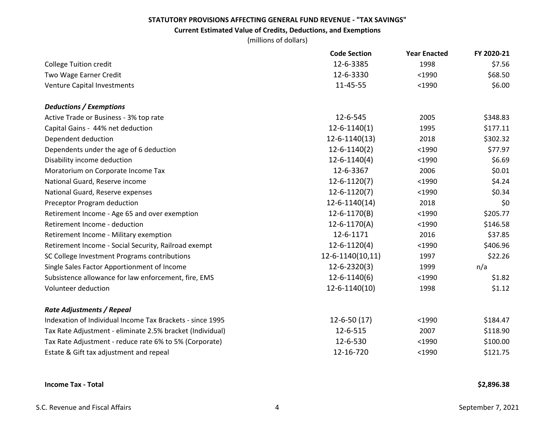## **Current Estimated Value of Credits, Deductions, and Exemptions**

|                                                           | <b>Code Section</b> | <b>Year Enacted</b> | FY 2020-21 |
|-----------------------------------------------------------|---------------------|---------------------|------------|
| <b>College Tuition credit</b>                             | 12-6-3385           | 1998                | \$7.56     |
| Two Wage Earner Credit                                    | 12-6-3330           | $1990$              | \$68.50    |
| <b>Venture Capital Investments</b>                        | 11-45-55            | $1990$              | \$6.00     |
| <b>Deductions / Exemptions</b>                            |                     |                     |            |
| Active Trade or Business - 3% top rate                    | 12-6-545            | 2005                | \$348.83   |
| Capital Gains - 44% net deduction                         | $12 - 6 - 1140(1)$  | 1995                | \$177.11   |
| Dependent deduction                                       | 12-6-1140(13)       | 2018                | \$302.32   |
| Dependents under the age of 6 deduction                   | $12 - 6 - 1140(2)$  | $1990$              | \$77.97    |
| Disability income deduction                               | $12 - 6 - 1140(4)$  | $1990$              | \$6.69     |
| Moratorium on Corporate Income Tax                        | 12-6-3367           | 2006                | \$0.01     |
| National Guard, Reserve income                            | $12 - 6 - 1120(7)$  | $<$ 1990            | \$4.24     |
| National Guard, Reserve expenses                          | $12 - 6 - 1120(7)$  | $<$ 1990            | \$0.34     |
| Preceptor Program deduction                               | $12 - 6 - 1140(14)$ | 2018                | \$0        |
| Retirement Income - Age 65 and over exemption             | 12-6-1170(B)        | $<$ 1990            | \$205.77   |
| Retirement Income - deduction                             | $12 - 6 - 1170(A)$  | $<$ 1990            | \$146.58   |
| Retirement Income - Military exemption                    | 12-6-1171           | 2016                | \$37.85    |
| Retirement Income - Social Security, Railroad exempt      | $12 - 6 - 1120(4)$  | $<$ 1990            | \$406.96   |
| SC College Investment Programs contributions              | 12-6-1140(10,11)    | 1997                | \$22.26    |
| Single Sales Factor Apportionment of Income               | $12 - 6 - 2320(3)$  | 1999                | n/a        |
| Subsistence allowance for law enforcement, fire, EMS      | $12 - 6 - 1140(6)$  | $<$ 1990            | \$1.82     |
| Volunteer deduction                                       | 12-6-1140(10)       | 1998                | \$1.12     |
| <b>Rate Adjustments / Repeal</b>                          |                     |                     |            |
| Indexation of Individual Income Tax Brackets - since 1995 | $12 - 6 - 50(17)$   | $1990$              | \$184.47   |
| Tax Rate Adjustment - eliminate 2.5% bracket (Individual) | 12-6-515            | 2007                | \$118.90   |
| Tax Rate Adjustment - reduce rate 6% to 5% (Corporate)    | 12-6-530            | $1990$              | \$100.00   |
| Estate & Gift tax adjustment and repeal                   | 12-16-720           | $1990$              | \$121.75   |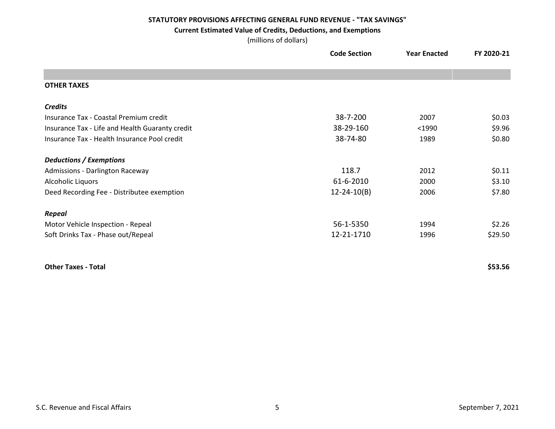#### **Current Estimated Value of Credits, Deductions, and Exemptions**

(millions of dollars)

|                                                 | <b>Code Section</b> | <b>Year Enacted</b> | FY 2020-21 |
|-------------------------------------------------|---------------------|---------------------|------------|
|                                                 |                     |                     |            |
| <b>OTHER TAXES</b>                              |                     |                     |            |
| <b>Credits</b>                                  |                     |                     |            |
| Insurance Tax - Coastal Premium credit          | 38-7-200            | 2007                | \$0.03\$   |
| Insurance Tax - Life and Health Guaranty credit | 38-29-160           | $<$ 1990            | \$9.96     |
| Insurance Tax - Health Insurance Pool credit    | 38-74-80            | 1989                | \$0.80     |
| <b>Deductions / Exemptions</b>                  |                     |                     |            |
| <b>Admissions - Darlington Raceway</b>          | 118.7               | 2012                | \$0.11     |
| Alcoholic Liquors                               | 61-6-2010           | 2000                | \$3.10     |
| Deed Recording Fee - Distributee exemption      | $12 - 24 - 10(B)$   | 2006                | \$7.80     |
| <b>Repeal</b>                                   |                     |                     |            |
| Motor Vehicle Inspection - Repeal               | 56-1-5350           | 1994                | \$2.26     |
| Soft Drinks Tax - Phase out/Repeal              | 12-21-1710          | 1996                | \$29.50    |
|                                                 |                     |                     |            |

## **Other Taxes - Total**

**\$53.56**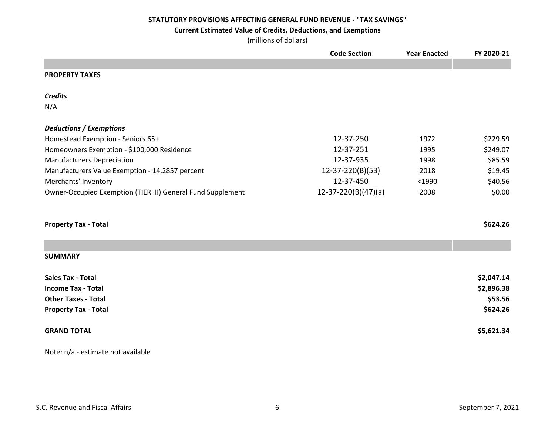## **Current Estimated Value of Credits, Deductions, and Exemptions**

(millions of dollars)

|                                                             | <b>Code Section</b>   | <b>Year Enacted</b> | FY 2020-21 |
|-------------------------------------------------------------|-----------------------|---------------------|------------|
|                                                             |                       |                     |            |
| <b>PROPERTY TAXES</b>                                       |                       |                     |            |
| <b>Credits</b>                                              |                       |                     |            |
| N/A                                                         |                       |                     |            |
| <b>Deductions / Exemptions</b>                              |                       |                     |            |
| Homestead Exemption - Seniors 65+                           | 12-37-250             | 1972                | \$229.59   |
| Homeowners Exemption - \$100,000 Residence                  | 12-37-251             | 1995                | \$249.07   |
| <b>Manufacturers Depreciation</b>                           | 12-37-935             | 1998                | \$85.59    |
| Manufacturers Value Exemption - 14.2857 percent             | 12-37-220(B)(53)      | 2018                | \$19.45    |
| Merchants' Inventory                                        | 12-37-450             | $1990$              | \$40.56    |
| Owner-Occupied Exemption (TIER III) General Fund Supplement | $12-37-220(B)(47)(a)$ | 2008                | \$0.00     |
| <b>Property Tax - Total</b>                                 |                       |                     | \$624.26   |
| <b>SUMMARY</b>                                              |                       |                     |            |
| <b>Sales Tax - Total</b>                                    |                       |                     | \$2,047.14 |
| <b>Income Tax - Total</b>                                   |                       |                     | \$2,896.38 |
| <b>Other Taxes - Total</b>                                  |                       |                     | \$53.56    |
| <b>Property Tax - Total</b>                                 |                       |                     | \$624.26   |
| <b>GRAND TOTAL</b>                                          |                       |                     | \$5,621.34 |
|                                                             |                       |                     |            |

Note: n/a - estimate not available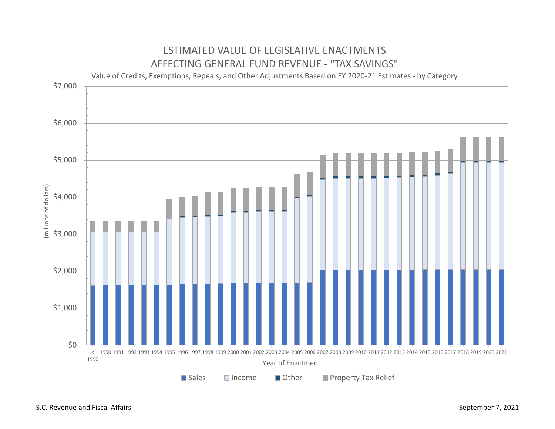

# ESTIMATED VALUE OF LEGISLATIVE ENACTMENTS

S.C. Revenue and Fiscal Affairs **September 7, 2021** September 7, 2021